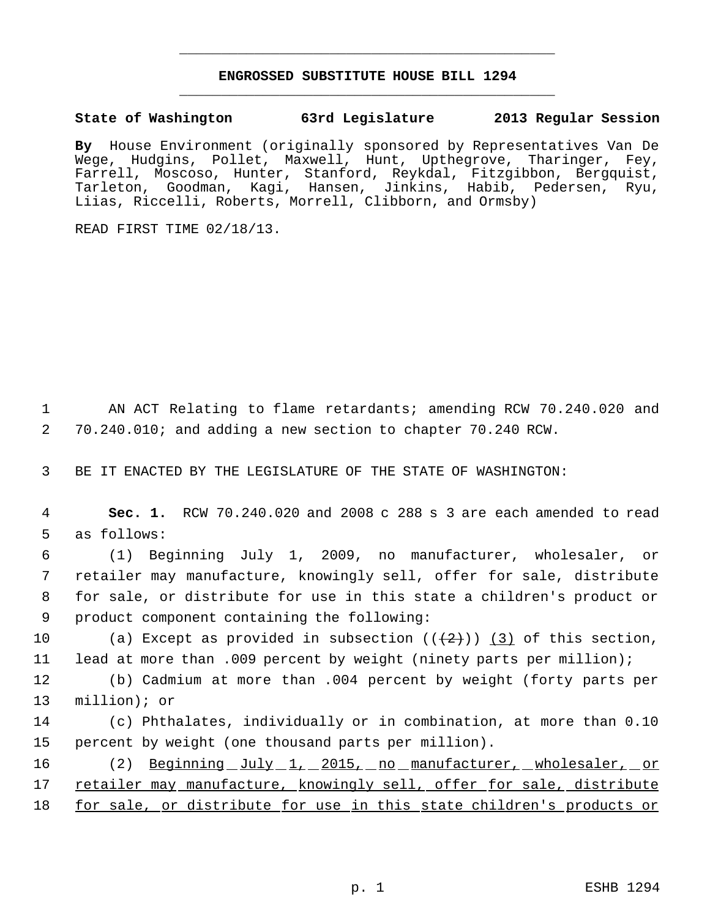## **ENGROSSED SUBSTITUTE HOUSE BILL 1294** \_\_\_\_\_\_\_\_\_\_\_\_\_\_\_\_\_\_\_\_\_\_\_\_\_\_\_\_\_\_\_\_\_\_\_\_\_\_\_\_\_\_\_\_\_

\_\_\_\_\_\_\_\_\_\_\_\_\_\_\_\_\_\_\_\_\_\_\_\_\_\_\_\_\_\_\_\_\_\_\_\_\_\_\_\_\_\_\_\_\_

**State of Washington 63rd Legislature 2013 Regular Session**

**By** House Environment (originally sponsored by Representatives Van De Wege, Hudgins, Pollet, Maxwell, Hunt, Upthegrove, Tharinger, Fey, Farrell, Moscoso, Hunter, Stanford, Reykdal, Fitzgibbon, Bergquist, Tarleton, Goodman, Kagi, Hansen, Jinkins, Habib, Pedersen, Ryu, Liias, Riccelli, Roberts, Morrell, Clibborn, and Ormsby)

READ FIRST TIME 02/18/13.

 1 AN ACT Relating to flame retardants; amending RCW 70.240.020 and 2 70.240.010; and adding a new section to chapter 70.240 RCW.

3 BE IT ENACTED BY THE LEGISLATURE OF THE STATE OF WASHINGTON:

 4 **Sec. 1.** RCW 70.240.020 and 2008 c 288 s 3 are each amended to read 5 as follows:

 (1) Beginning July 1, 2009, no manufacturer, wholesaler, or retailer may manufacture, knowingly sell, offer for sale, distribute for sale, or distribute for use in this state a children's product or product component containing the following:

10 (a) Except as provided in subsection  $(\frac{2}{2})$  (3) of this section, 11 lead at more than .009 percent by weight (ninety parts per million);

12 (b) Cadmium at more than .004 percent by weight (forty parts per 13 million); or

- 14 (c) Phthalates, individually or in combination, at more than 0.10 15 percent by weight (one thousand parts per million).
- 16 (2) Beginning July 1, 2015, no manufacturer, wholesaler, or 17 retailer may manufacture, knowingly sell, offer for sale, distribute 18 for sale, or distribute for use in this state children's products or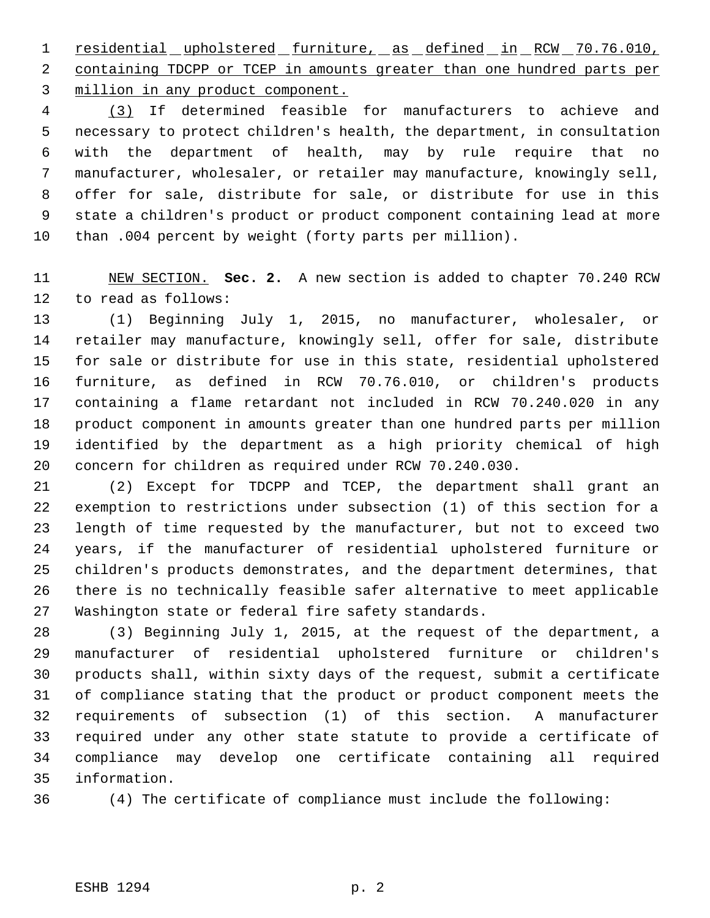residential upholstered furniture, as defined in RCW 70.76.010, containing TDCPP or TCEP in amounts greater than one hundred parts per million in any product component.

 (3) If determined feasible for manufacturers to achieve and necessary to protect children's health, the department, in consultation with the department of health, may by rule require that no manufacturer, wholesaler, or retailer may manufacture, knowingly sell, offer for sale, distribute for sale, or distribute for use in this state a children's product or product component containing lead at more than .004 percent by weight (forty parts per million).

 NEW SECTION. **Sec. 2.** A new section is added to chapter 70.240 RCW to read as follows:

 (1) Beginning July 1, 2015, no manufacturer, wholesaler, or retailer may manufacture, knowingly sell, offer for sale, distribute for sale or distribute for use in this state, residential upholstered furniture, as defined in RCW 70.76.010, or children's products containing a flame retardant not included in RCW 70.240.020 in any product component in amounts greater than one hundred parts per million identified by the department as a high priority chemical of high concern for children as required under RCW 70.240.030.

 (2) Except for TDCPP and TCEP, the department shall grant an exemption to restrictions under subsection (1) of this section for a length of time requested by the manufacturer, but not to exceed two years, if the manufacturer of residential upholstered furniture or children's products demonstrates, and the department determines, that there is no technically feasible safer alternative to meet applicable Washington state or federal fire safety standards.

 (3) Beginning July 1, 2015, at the request of the department, a manufacturer of residential upholstered furniture or children's products shall, within sixty days of the request, submit a certificate of compliance stating that the product or product component meets the requirements of subsection (1) of this section. A manufacturer required under any other state statute to provide a certificate of compliance may develop one certificate containing all required information.

(4) The certificate of compliance must include the following: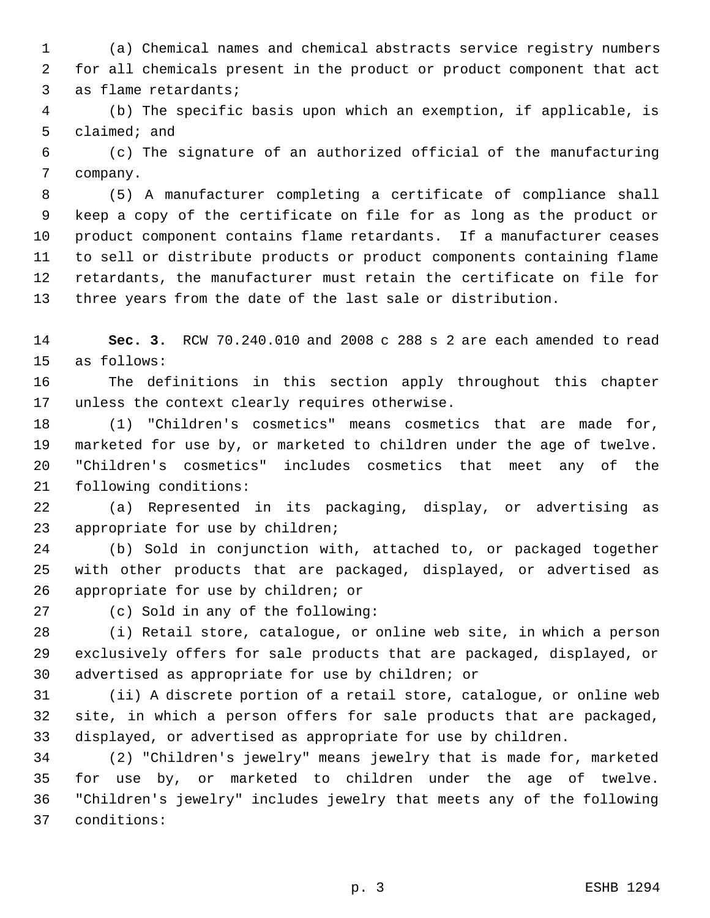(a) Chemical names and chemical abstracts service registry numbers for all chemicals present in the product or product component that act as flame retardants;

 (b) The specific basis upon which an exemption, if applicable, is claimed; and

 (c) The signature of an authorized official of the manufacturing company.

 (5) A manufacturer completing a certificate of compliance shall keep a copy of the certificate on file for as long as the product or product component contains flame retardants. If a manufacturer ceases to sell or distribute products or product components containing flame retardants, the manufacturer must retain the certificate on file for three years from the date of the last sale or distribution.

 **Sec. 3.** RCW 70.240.010 and 2008 c 288 s 2 are each amended to read as follows:

 The definitions in this section apply throughout this chapter unless the context clearly requires otherwise.

 (1) "Children's cosmetics" means cosmetics that are made for, marketed for use by, or marketed to children under the age of twelve. "Children's cosmetics" includes cosmetics that meet any of the following conditions:

 (a) Represented in its packaging, display, or advertising as appropriate for use by children;

 (b) Sold in conjunction with, attached to, or packaged together with other products that are packaged, displayed, or advertised as appropriate for use by children; or

(c) Sold in any of the following:

 (i) Retail store, catalogue, or online web site, in which a person exclusively offers for sale products that are packaged, displayed, or advertised as appropriate for use by children; or

 (ii) A discrete portion of a retail store, catalogue, or online web site, in which a person offers for sale products that are packaged, displayed, or advertised as appropriate for use by children.

 (2) "Children's jewelry" means jewelry that is made for, marketed for use by, or marketed to children under the age of twelve. "Children's jewelry" includes jewelry that meets any of the following conditions: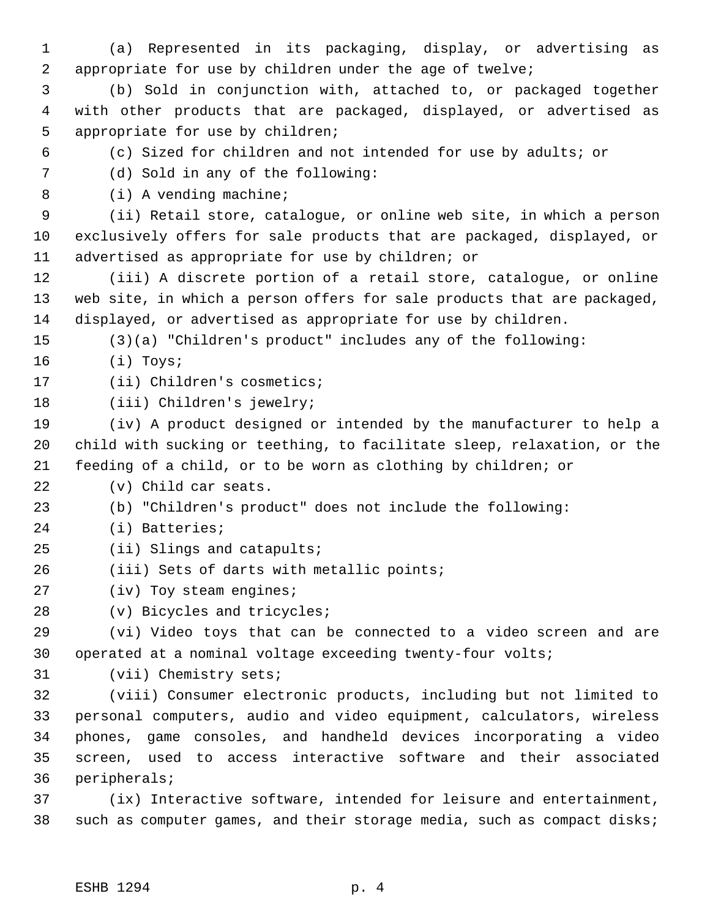(a) Represented in its packaging, display, or advertising as appropriate for use by children under the age of twelve;

 (b) Sold in conjunction with, attached to, or packaged together with other products that are packaged, displayed, or advertised as appropriate for use by children;

(c) Sized for children and not intended for use by adults; or

(d) Sold in any of the following:

8 (i) A vending machine;

 (ii) Retail store, catalogue, or online web site, in which a person exclusively offers for sale products that are packaged, displayed, or advertised as appropriate for use by children; or

 (iii) A discrete portion of a retail store, catalogue, or online web site, in which a person offers for sale products that are packaged, displayed, or advertised as appropriate for use by children.

(3)(a) "Children's product" includes any of the following:

(i) Toys;

17 (ii) Children's cosmetics;

(iii) Children's jewelry;

 (iv) A product designed or intended by the manufacturer to help a child with sucking or teething, to facilitate sleep, relaxation, or the feeding of a child, or to be worn as clothing by children; or

(v) Child car seats.

(b) "Children's product" does not include the following:

- (i) Batteries;
- (ii) Slings and catapults;
- (iii) Sets of darts with metallic points;

(iv) Toy steam engines;

(v) Bicycles and tricycles;

 (vi) Video toys that can be connected to a video screen and are operated at a nominal voltage exceeding twenty-four volts;

(vii) Chemistry sets;

 (viii) Consumer electronic products, including but not limited to personal computers, audio and video equipment, calculators, wireless phones, game consoles, and handheld devices incorporating a video screen, used to access interactive software and their associated peripherals;

 (ix) Interactive software, intended for leisure and entertainment, such as computer games, and their storage media, such as compact disks;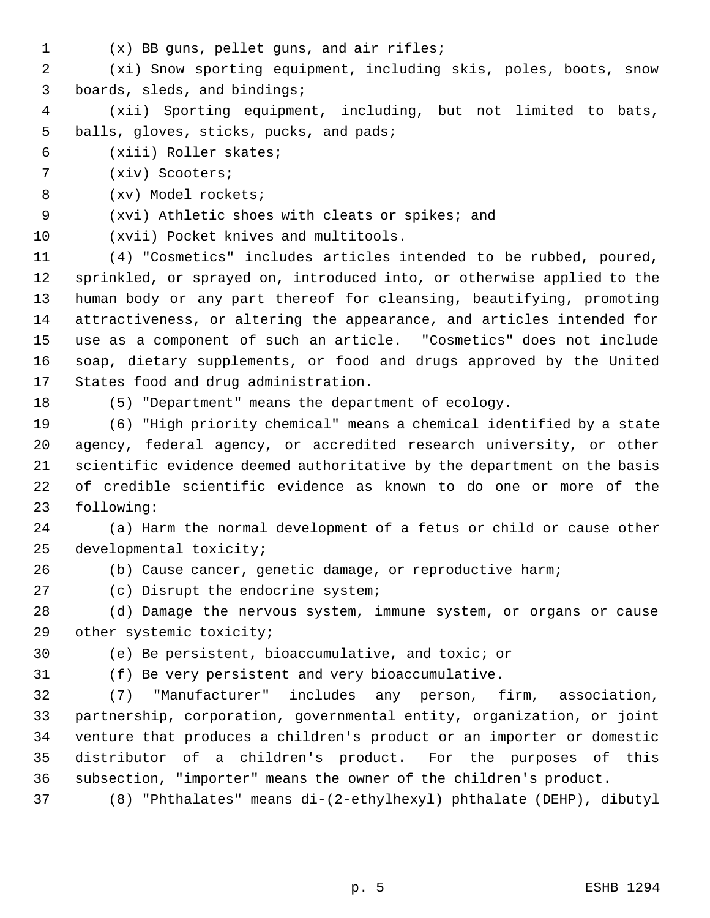- 
- (x) BB guns, pellet guns, and air rifles;

 (xi) Snow sporting equipment, including skis, poles, boots, snow boards, sleds, and bindings;

 (xii) Sporting equipment, including, but not limited to bats, balls, gloves, sticks, pucks, and pads;

- (xiii) Roller skates;
- (xiv) Scooters;
- (xv) Model rockets;

(xvi) Athletic shoes with cleats or spikes; and

(xvii) Pocket knives and multitools.

 (4) "Cosmetics" includes articles intended to be rubbed, poured, sprinkled, or sprayed on, introduced into, or otherwise applied to the human body or any part thereof for cleansing, beautifying, promoting attractiveness, or altering the appearance, and articles intended for use as a component of such an article. "Cosmetics" does not include soap, dietary supplements, or food and drugs approved by the United States food and drug administration.

(5) "Department" means the department of ecology.

 (6) "High priority chemical" means a chemical identified by a state agency, federal agency, or accredited research university, or other scientific evidence deemed authoritative by the department on the basis of credible scientific evidence as known to do one or more of the following:

 (a) Harm the normal development of a fetus or child or cause other developmental toxicity;

(b) Cause cancer, genetic damage, or reproductive harm;

(c) Disrupt the endocrine system;

 (d) Damage the nervous system, immune system, or organs or cause other systemic toxicity;

(e) Be persistent, bioaccumulative, and toxic; or

(f) Be very persistent and very bioaccumulative.

 (7) "Manufacturer" includes any person, firm, association, partnership, corporation, governmental entity, organization, or joint venture that produces a children's product or an importer or domestic distributor of a children's product. For the purposes of this subsection, "importer" means the owner of the children's product.

(8) "Phthalates" means di-(2-ethylhexyl) phthalate (DEHP), dibutyl